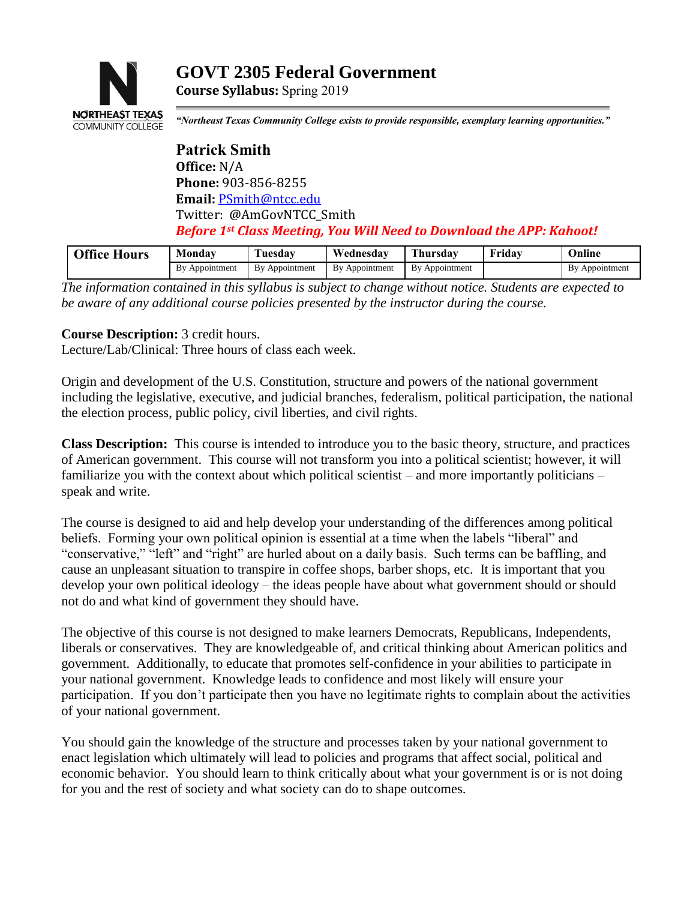

# **GOVT 2305 Federal Government**

**Course Syllabus:** Spring 2019

*"Northeast Texas Community College exists to provide responsible, exemplary learning opportunities."*

**Patrick Smith Office:** N/A **Phone:** 903-856-8255 **Email:** [PSmith@ntcc.edu](mailto:PSmith@ntcc.edu) Twitter: @AmGovNTCC\_Smith *Before 1st Class Meeting, You Will Need to Download the APP: Kahoot!*

| <b>Office Hours</b> | Monday            | <b>Tuesdav</b> | Wednesdav           | <b>CENT</b><br>hursdav | .<br>Friday | Jnline              |
|---------------------|-------------------|----------------|---------------------|------------------------|-------------|---------------------|
|                     | Bv<br>Appointment | By Appointment | 7 Appointment<br>Bv | Bv<br>Appointment      |             | Bv<br>' Appointment |

*The information contained in this syllabus is subject to change without notice. Students are expected to be aware of any additional course policies presented by the instructor during the course.*

## **Course Description:** 3 credit hours.

Lecture/Lab/Clinical: Three hours of class each week.

Origin and development of the U.S. Constitution, structure and powers of the national government including the legislative, executive, and judicial branches, federalism, political participation, the national the election process, public policy, civil liberties, and civil rights.

**Class Description:** This course is intended to introduce you to the basic theory, structure, and practices of American government. This course will not transform you into a political scientist; however, it will familiarize you with the context about which political scientist – and more importantly politicians – speak and write.

The course is designed to aid and help develop your understanding of the differences among political beliefs. Forming your own political opinion is essential at a time when the labels "liberal" and "conservative," "left" and "right" are hurled about on a daily basis. Such terms can be baffling, and cause an unpleasant situation to transpire in coffee shops, barber shops, etc. It is important that you develop your own political ideology – the ideas people have about what government should or should not do and what kind of government they should have.

The objective of this course is not designed to make learners Democrats, Republicans, Independents, liberals or conservatives. They are knowledgeable of, and critical thinking about American politics and government. Additionally, to educate that promotes self-confidence in your abilities to participate in your national government. Knowledge leads to confidence and most likely will ensure your participation. If you don't participate then you have no legitimate rights to complain about the activities of your national government.

You should gain the knowledge of the structure and processes taken by your national government to enact legislation which ultimately will lead to policies and programs that affect social, political and economic behavior. You should learn to think critically about what your government is or is not doing for you and the rest of society and what society can do to shape outcomes.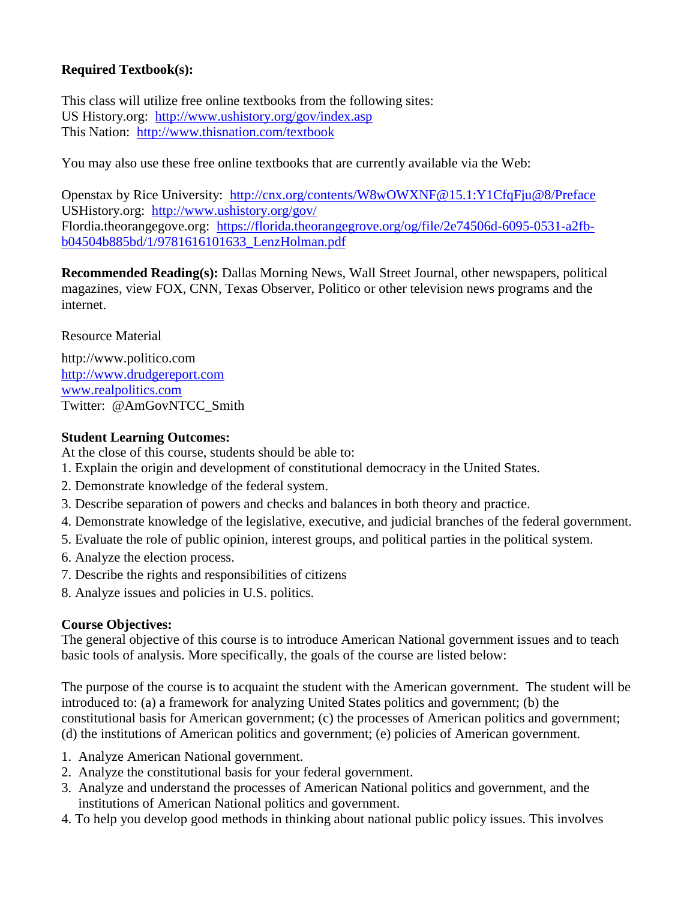## **Required Textbook(s):**

This class will utilize free online textbooks from the following sites: US History.org: <http://www.ushistory.org/gov/index.asp> This Nation: <http://www.thisnation.com/textbook>

You may also use these free online textbooks that are currently available via the Web:

Openstax by Rice University: <http://cnx.org/contents/W8wOWXNF@15.1:Y1CfqFju@8/Preface> USHistory.org: <http://www.ushistory.org/gov/> Flordia.theorangegove.org: [https://florida.theorangegrove.org/og/file/2e74506d-6095-0531-a2fb](https://florida.theorangegrove.org/og/file/2e74506d-6095-0531-a2fb-b04504b885bd/1/9781616101633_LenzHolman.pdf)[b04504b885bd/1/9781616101633\\_LenzHolman.pdf](https://florida.theorangegrove.org/og/file/2e74506d-6095-0531-a2fb-b04504b885bd/1/9781616101633_LenzHolman.pdf)

**Recommended Reading(s):** Dallas Morning News, Wall Street Journal, other newspapers, political magazines, view FOX, CNN, Texas Observer, Politico or other television news programs and the internet.

Resource Material

http://www.politico.com [http://www.drudgereport.com](http://www.drudgereport.com/) [www.realpolitics.com](http://www.realpolitics.com/) Twitter: @AmGovNTCC\_Smith

## **Student Learning Outcomes:**

At the close of this course, students should be able to:

- 1. Explain the origin and development of constitutional democracy in the United States.
- 2. Demonstrate knowledge of the federal system.
- 3. Describe separation of powers and checks and balances in both theory and practice.
- 4. Demonstrate knowledge of the legislative, executive, and judicial branches of the federal government.
- 5. Evaluate the role of public opinion, interest groups, and political parties in the political system.
- 6. Analyze the election process.
- 7. Describe the rights and responsibilities of citizens
- 8. Analyze issues and policies in U.S. politics.

#### **Course Objectives:**

The general objective of this course is to introduce American National government issues and to teach basic tools of analysis. More specifically, the goals of the course are listed below:

The purpose of the course is to acquaint the student with the American government. The student will be introduced to: (a) a framework for analyzing United States politics and government; (b) the constitutional basis for American government; (c) the processes of American politics and government; (d) the institutions of American politics and government; (e) policies of American government.

- 1. Analyze American National government.
- 2. Analyze the constitutional basis for your federal government.
- 3. Analyze and understand the processes of American National politics and government, and the institutions of American National politics and government.
- 4. To help you develop good methods in thinking about national public policy issues. This involves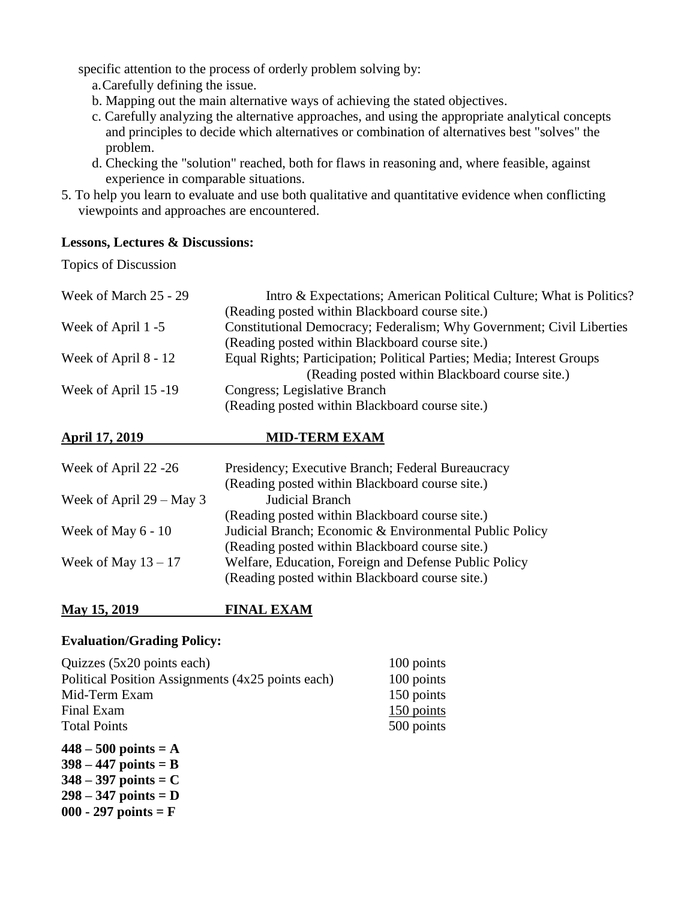specific attention to the process of orderly problem solving by:

- a.Carefully defining the issue.
- b. Mapping out the main alternative ways of achieving the stated objectives.
- c. Carefully analyzing the alternative approaches, and using the appropriate analytical concepts and principles to decide which alternatives or combination of alternatives best "solves" the problem.
- d. Checking the "solution" reached, both for flaws in reasoning and, where feasible, against experience in comparable situations.
- 5. To help you learn to evaluate and use both qualitative and quantitative evidence when conflicting viewpoints and approaches are encountered.

#### **Lessons, Lectures & Discussions:**

Topics of Discussion

| Week of March 25 - 29 | Intro & Expectations; American Political Culture; What is Politics?    |
|-----------------------|------------------------------------------------------------------------|
|                       | (Reading posted within Blackboard course site.)                        |
| Week of April 1 -5    | Constitutional Democracy; Federalism; Why Government; Civil Liberties  |
|                       | (Reading posted within Blackboard course site.)                        |
| Week of April 8 - 12  | Equal Rights; Participation; Political Parties; Media; Interest Groups |
|                       | (Reading posted within Blackboard course site.)                        |
| Week of April 15 -19  | Congress; Legislative Branch                                           |
|                       | (Reading posted within Blackboard course site.)                        |

## **April 17, 2019 MID-TERM EXAM**

| Presidency; Executive Branch; Federal Bureaucracy       |  |  |
|---------------------------------------------------------|--|--|
| (Reading posted within Blackboard course site.)         |  |  |
| Judicial Branch                                         |  |  |
| (Reading posted within Blackboard course site.)         |  |  |
| Judicial Branch; Economic & Environmental Public Policy |  |  |
| (Reading posted within Blackboard course site.)         |  |  |
| Welfare, Education, Foreign and Defense Public Policy   |  |  |
| (Reading posted within Blackboard course site.)         |  |  |
|                                                         |  |  |

## **May 15, 2019 FINAL EXAM**

## **Evaluation/Grading Policy:**

| $\Delta 48$ – 500 points – $\Delta$               |            |
|---------------------------------------------------|------------|
| <b>Total Points</b>                               | 500 points |
| Final Exam                                        | 150 points |
| Mid-Term Exam                                     | 150 points |
| Political Position Assignments (4x25 points each) | 100 points |
| Quizzes $(5x20 \text{ points each})$              | 100 points |

**448 – 500 points = A 398 – 447 points = B 348 – 397 points = C 298 – 347 points = D 000 - 297 points = F**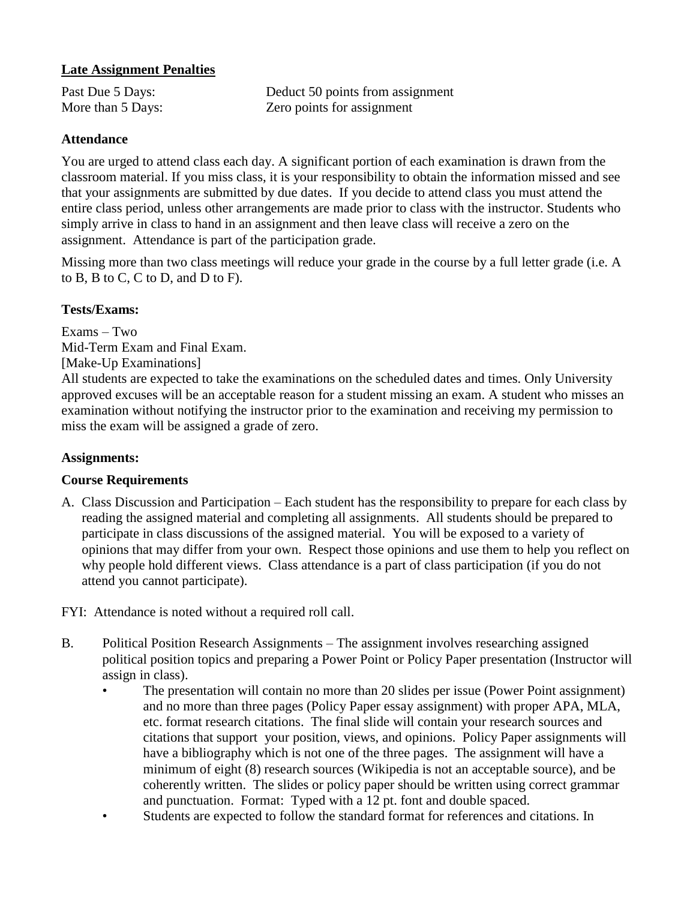## **Late Assignment Penalties**

Past Due 5 Days: Deduct 50 points from assignment More than 5 Days: Zero points for assignment

## **Attendance**

You are urged to attend class each day. A significant portion of each examination is drawn from the classroom material. If you miss class, it is your responsibility to obtain the information missed and see that your assignments are submitted by due dates. If you decide to attend class you must attend the entire class period, unless other arrangements are made prior to class with the instructor. Students who simply arrive in class to hand in an assignment and then leave class will receive a zero on the assignment. Attendance is part of the participation grade.

Missing more than two class meetings will reduce your grade in the course by a full letter grade (i.e. A to B, B to C, C to D, and D to F).

## **Tests/Exams:**

Exams – Two Mid-Term Exam and Final Exam. [Make-Up Examinations] All students are expected to take the examinations on the scheduled dates and times. Only University

approved excuses will be an acceptable reason for a student missing an exam. A student who misses an examination without notifying the instructor prior to the examination and receiving my permission to miss the exam will be assigned a grade of zero.

#### **Assignments:**

#### **Course Requirements**

A. Class Discussion and Participation – Each student has the responsibility to prepare for each class by reading the assigned material and completing all assignments. All students should be prepared to participate in class discussions of the assigned material. You will be exposed to a variety of opinions that may differ from your own. Respect those opinions and use them to help you reflect on why people hold different views. Class attendance is a part of class participation (if you do not attend you cannot participate).

FYI: Attendance is noted without a required roll call.

- B. Political Position Research Assignments The assignment involves researching assigned political position topics and preparing a Power Point or Policy Paper presentation (Instructor will assign in class).
	- The presentation will contain no more than 20 slides per issue (Power Point assignment) and no more than three pages (Policy Paper essay assignment) with proper APA, MLA, etc. format research citations. The final slide will contain your research sources and citations that support your position, views, and opinions. Policy Paper assignments will have a bibliography which is not one of the three pages. The assignment will have a minimum of eight (8) research sources (Wikipedia is not an acceptable source), and be coherently written. The slides or policy paper should be written using correct grammar and punctuation. Format: Typed with a 12 pt. font and double spaced.
	- Students are expected to follow the standard format for references and citations. In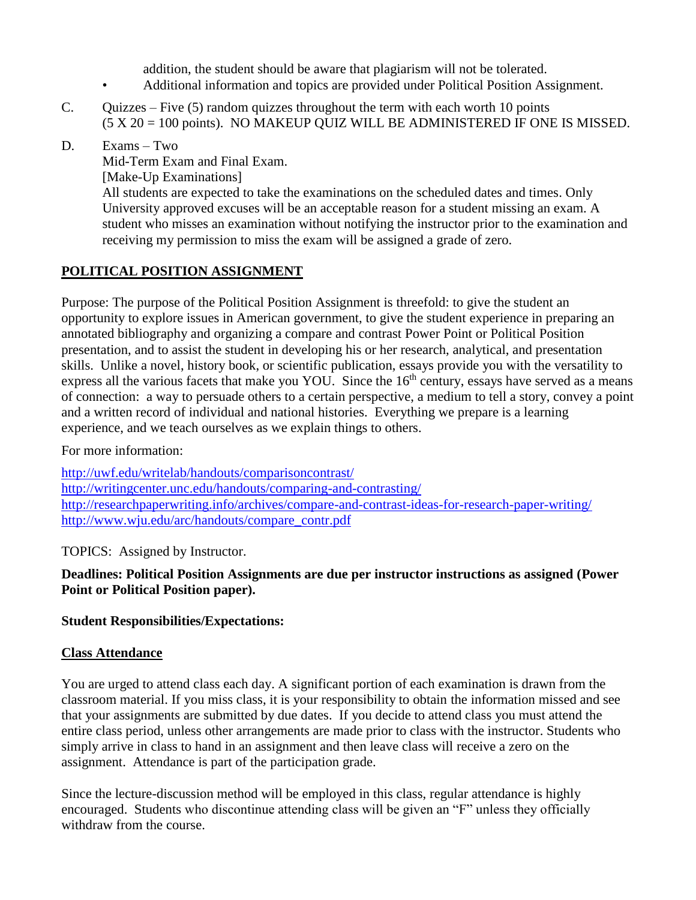addition, the student should be aware that plagiarism will not be tolerated.

- Additional information and topics are provided under Political Position Assignment.
- C. Ouizzes Five  $(5)$  random quizzes throughout the term with each worth 10 points (5 X 20 = 100 points). NO MAKEUP QUIZ WILL BE ADMINISTERED IF ONE IS MISSED.
- D. Exams Two

Mid-Term Exam and Final Exam. [Make-Up Examinations] All students are expected to take the examinations on the scheduled dates and times. Only University approved excuses will be an acceptable reason for a student missing an exam. A student who misses an examination without notifying the instructor prior to the examination and receiving my permission to miss the exam will be assigned a grade of zero.

## **POLITICAL POSITION ASSIGNMENT**

Purpose: The purpose of the Political Position Assignment is threefold: to give the student an opportunity to explore issues in American government, to give the student experience in preparing an annotated bibliography and organizing a compare and contrast Power Point or Political Position presentation, and to assist the student in developing his or her research, analytical, and presentation skills. Unlike a novel, history book, or scientific publication, essays provide you with the versatility to express all the various facets that make you YOU. Since the  $16<sup>th</sup>$  century, essays have served as a means of connection: a way to persuade others to a certain perspective, a medium to tell a story, convey a point and a written record of individual and national histories. Everything we prepare is a learning experience, and we teach ourselves as we explain things to others.

## For more information:

<http://uwf.edu/writelab/handouts/comparisoncontrast/> <http://writingcenter.unc.edu/handouts/comparing-and-contrasting/> <http://researchpaperwriting.info/archives/compare-and-contrast-ideas-for-research-paper-writing/> [http://www.wju.edu/arc/handouts/compare\\_contr.pdf](http://www.wju.edu/arc/handouts/compare_contr.pdf)

TOPICS: Assigned by Instructor.

## **Deadlines: Political Position Assignments are due per instructor instructions as assigned (Power Point or Political Position paper).**

## **Student Responsibilities/Expectations:**

## **Class Attendance**

You are urged to attend class each day. A significant portion of each examination is drawn from the classroom material. If you miss class, it is your responsibility to obtain the information missed and see that your assignments are submitted by due dates. If you decide to attend class you must attend the entire class period, unless other arrangements are made prior to class with the instructor. Students who simply arrive in class to hand in an assignment and then leave class will receive a zero on the assignment. Attendance is part of the participation grade.

Since the lecture-discussion method will be employed in this class, regular attendance is highly encouraged. Students who discontinue attending class will be given an "F" unless they officially withdraw from the course.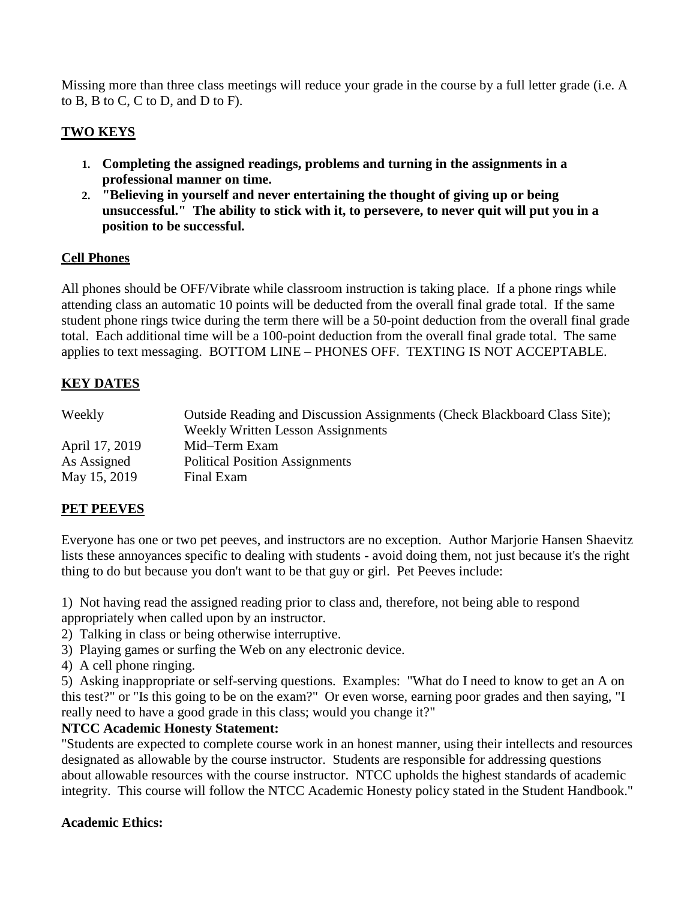Missing more than three class meetings will reduce your grade in the course by a full letter grade (i.e. A to B, B to C, C to D, and D to F).

## **TWO KEYS**

- **1. Completing the assigned readings, problems and turning in the assignments in a professional manner on time.**
- **2. "Believing in yourself and never entertaining the thought of giving up or being unsuccessful." The ability to stick with it, to persevere, to never quit will put you in a position to be successful.**

## **Cell Phones**

All phones should be OFF/Vibrate while classroom instruction is taking place. If a phone rings while attending class an automatic 10 points will be deducted from the overall final grade total. If the same student phone rings twice during the term there will be a 50-point deduction from the overall final grade total. Each additional time will be a 100-point deduction from the overall final grade total. The same applies to text messaging. BOTTOM LINE – PHONES OFF. TEXTING IS NOT ACCEPTABLE.

## **KEY DATES**

| Weekly         | Outside Reading and Discussion Assignments (Check Blackboard Class Site);<br><b>Weekly Written Lesson Assignments</b> |
|----------------|-----------------------------------------------------------------------------------------------------------------------|
| April 17, 2019 | Mid-Term Exam                                                                                                         |
| As Assigned    | <b>Political Position Assignments</b>                                                                                 |
| May 15, 2019   | Final Exam                                                                                                            |

## **PET PEEVES**

Everyone has one or two pet peeves, and instructors are no exception. Author Marjorie Hansen Shaevitz lists these annoyances specific to dealing with students - avoid doing them, not just because it's the right thing to do but because you don't want to be that guy or girl. Pet Peeves include:

1) Not having read the assigned reading prior to class and, therefore, not being able to respond appropriately when called upon by an instructor.

- 2) Talking in class or being otherwise interruptive.
- 3) Playing games or surfing the Web on any electronic device.
- 4) A cell phone ringing.

5) Asking inappropriate or self-serving questions. Examples: "What do I need to know to get an A on this test?" or "Is this going to be on the exam?" Or even worse, earning poor grades and then saying, "I really need to have a good grade in this class; would you change it?"

## **NTCC Academic Honesty Statement:**

"Students are expected to complete course work in an honest manner, using their intellects and resources designated as allowable by the course instructor. Students are responsible for addressing questions about allowable resources with the course instructor. NTCC upholds the highest standards of academic integrity. This course will follow the NTCC Academic Honesty policy stated in the Student Handbook."

#### **Academic Ethics:**